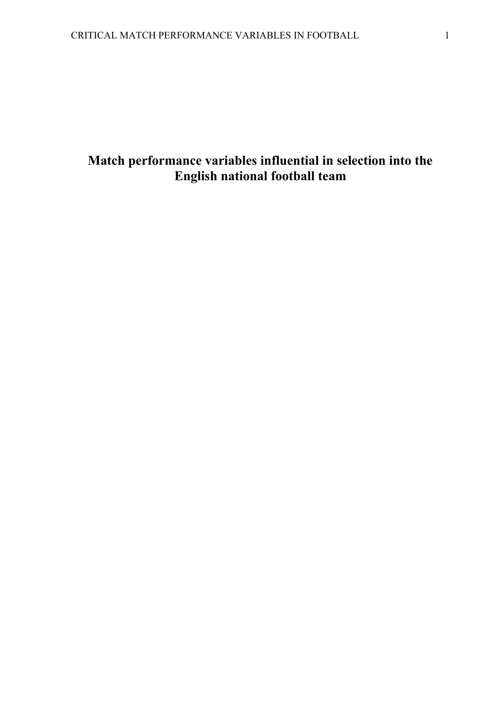# **Match performance variables influential in selection into the English national football team**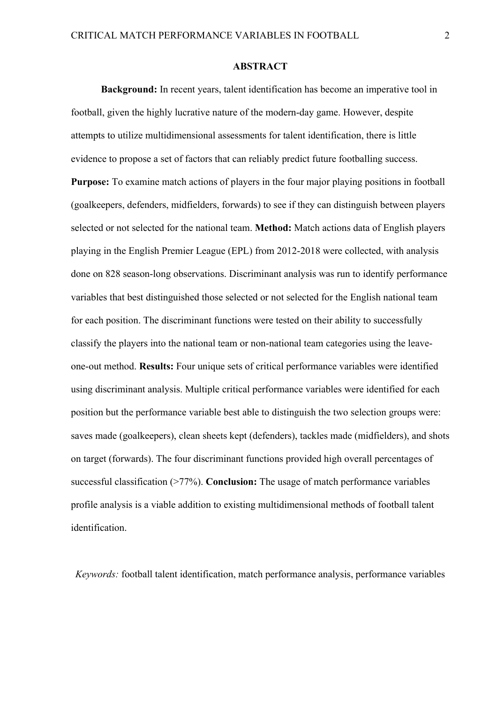#### **ABSTRACT**

**Background:** In recent years, talent identification has become an imperative tool in football, given the highly lucrative nature of the modern-day game. However, despite attempts to utilize multidimensional assessments for talent identification, there is little evidence to propose a set of factors that can reliably predict future footballing success. **Purpose:** To examine match actions of players in the four major playing positions in football (goalkeepers, defenders, midfielders, forwards) to see if they can distinguish between players selected or not selected for the national team. **Method:** Match actions data of English players playing in the English Premier League (EPL) from 2012-2018 were collected, with analysis done on 828 season-long observations. Discriminant analysis was run to identify performance variables that best distinguished those selected or not selected for the English national team for each position. The discriminant functions were tested on their ability to successfully classify the players into the national team or non-national team categories using the leaveone-out method. **Results:** Four unique sets of critical performance variables were identified using discriminant analysis. Multiple critical performance variables were identified for each position but the performance variable best able to distinguish the two selection groups were: saves made (goalkeepers), clean sheets kept (defenders), tackles made (midfielders), and shots on target (forwards). The four discriminant functions provided high overall percentages of successful classification (>77%). **Conclusion:** The usage of match performance variables profile analysis is a viable addition to existing multidimensional methods of football talent identification.

*Keywords:* football talent identification, match performance analysis, performance variables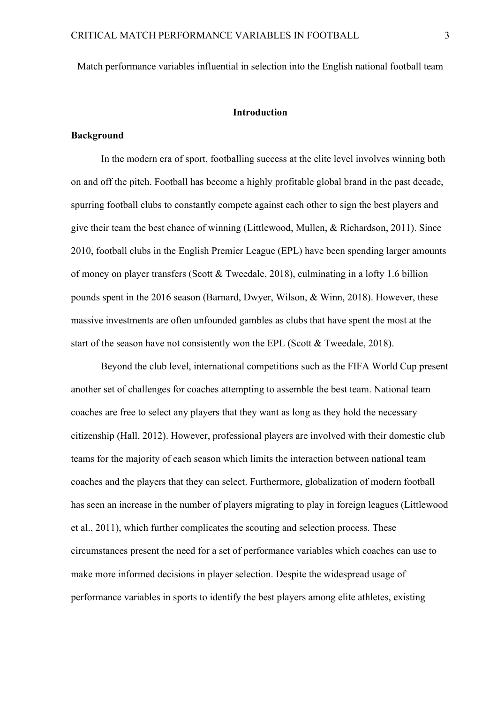Match performance variables influential in selection into the English national football team

#### **Introduction**

## **Background**

In the modern era of sport, footballing success at the elite level involves winning both on and off the pitch. Football has become a highly profitable global brand in the past decade, spurring football clubs to constantly compete against each other to sign the best players and give their team the best chance of winning (Littlewood, Mullen, & Richardson, 2011). Since 2010, football clubs in the English Premier League (EPL) have been spending larger amounts of money on player transfers (Scott & Tweedale, 2018), culminating in a lofty 1.6 billion pounds spent in the 2016 season (Barnard, Dwyer, Wilson, & Winn, 2018). However, these massive investments are often unfounded gambles as clubs that have spent the most at the start of the season have not consistently won the EPL (Scott  $&$  Tweedale, 2018).

Beyond the club level, international competitions such as the FIFA World Cup present another set of challenges for coaches attempting to assemble the best team. National team coaches are free to select any players that they want as long as they hold the necessary citizenship (Hall, 2012). However, professional players are involved with their domestic club teams for the majority of each season which limits the interaction between national team coaches and the players that they can select. Furthermore, globalization of modern football has seen an increase in the number of players migrating to play in foreign leagues (Littlewood et al., 2011), which further complicates the scouting and selection process. These circumstances present the need for a set of performance variables which coaches can use to make more informed decisions in player selection. Despite the widespread usage of performance variables in sports to identify the best players among elite athletes, existing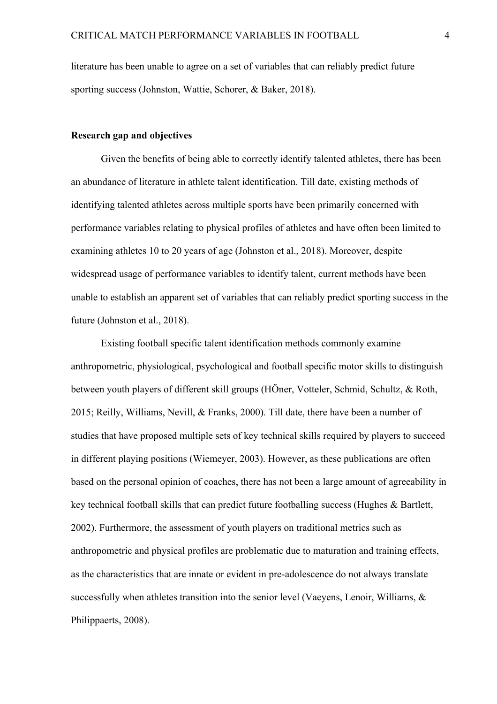literature has been unable to agree on a set of variables that can reliably predict future sporting success (Johnston, Wattie, Schorer, & Baker, 2018).

## **Research gap and objectives**

Given the benefits of being able to correctly identify talented athletes, there has been an abundance of literature in athlete talent identification. Till date, existing methods of identifying talented athletes across multiple sports have been primarily concerned with performance variables relating to physical profiles of athletes and have often been limited to examining athletes 10 to 20 years of age (Johnston et al., 2018). Moreover, despite widespread usage of performance variables to identify talent, current methods have been unable to establish an apparent set of variables that can reliably predict sporting success in the future (Johnston et al., 2018).

Existing football specific talent identification methods commonly examine anthropometric, physiological, psychological and football specific motor skills to distinguish between youth players of different skill groups (HÖner, Votteler, Schmid, Schultz, & Roth, 2015; Reilly, Williams, Nevill, & Franks, 2000). Till date, there have been a number of studies that have proposed multiple sets of key technical skills required by players to succeed in different playing positions (Wiemeyer, 2003). However, as these publications are often based on the personal opinion of coaches, there has not been a large amount of agreeability in key technical football skills that can predict future footballing success (Hughes & Bartlett, 2002). Furthermore, the assessment of youth players on traditional metrics such as anthropometric and physical profiles are problematic due to maturation and training effects, as the characteristics that are innate or evident in pre-adolescence do not always translate successfully when athletes transition into the senior level (Vaeyens, Lenoir, Williams, & Philippaerts, 2008).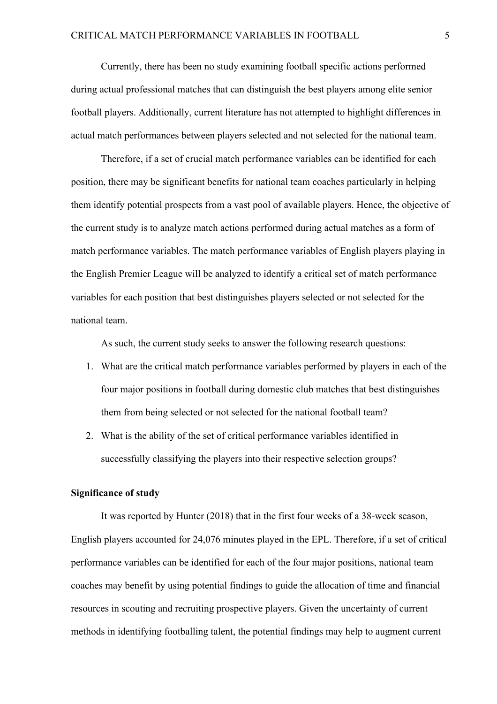Currently, there has been no study examining football specific actions performed during actual professional matches that can distinguish the best players among elite senior football players. Additionally, current literature has not attempted to highlight differences in actual match performances between players selected and not selected for the national team.

Therefore, if a set of crucial match performance variables can be identified for each position, there may be significant benefits for national team coaches particularly in helping them identify potential prospects from a vast pool of available players. Hence, the objective of the current study is to analyze match actions performed during actual matches as a form of match performance variables. The match performance variables of English players playing in the English Premier League will be analyzed to identify a critical set of match performance variables for each position that best distinguishes players selected or not selected for the national team.

As such, the current study seeks to answer the following research questions:

- 1. What are the critical match performance variables performed by players in each of the four major positions in football during domestic club matches that best distinguishes them from being selected or not selected for the national football team?
- 2. What is the ability of the set of critical performance variables identified in successfully classifying the players into their respective selection groups?

## **Significance of study**

It was reported by Hunter (2018) that in the first four weeks of a 38-week season, English players accounted for 24,076 minutes played in the EPL. Therefore, if a set of critical performance variables can be identified for each of the four major positions, national team coaches may benefit by using potential findings to guide the allocation of time and financial resources in scouting and recruiting prospective players. Given the uncertainty of current methods in identifying footballing talent, the potential findings may help to augment current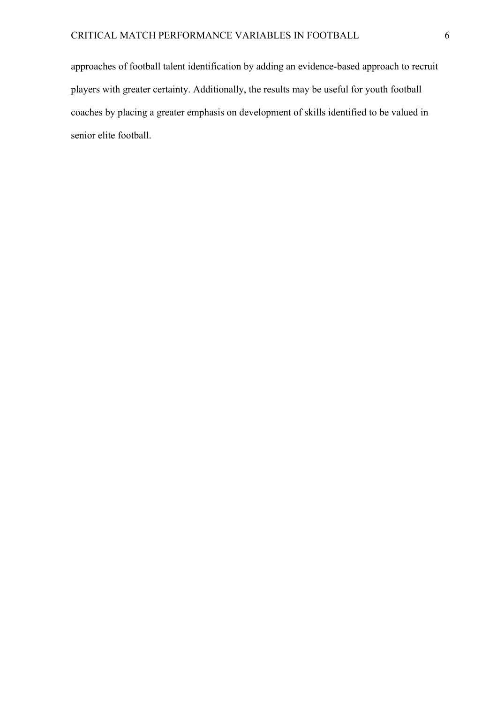approaches of football talent identification by adding an evidence-based approach to recruit players with greater certainty. Additionally, the results may be useful for youth football coaches by placing a greater emphasis on development of skills identified to be valued in senior elite football.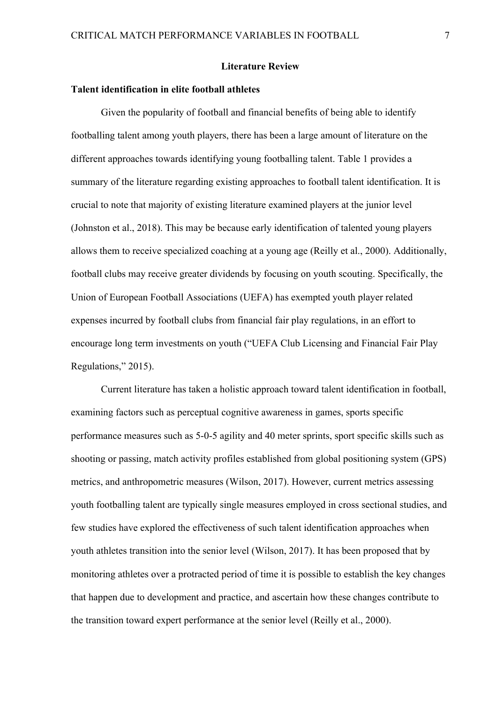#### **Literature Review**

#### **Talent identification in elite football athletes**

Given the popularity of football and financial benefits of being able to identify footballing talent among youth players, there has been a large amount of literature on the different approaches towards identifying young footballing talent. Table 1 provides a summary of the literature regarding existing approaches to football talent identification. It is crucial to note that majority of existing literature examined players at the junior level (Johnston et al., 2018). This may be because early identification of talented young players allows them to receive specialized coaching at a young age (Reilly et al., 2000). Additionally, football clubs may receive greater dividends by focusing on youth scouting. Specifically, the Union of European Football Associations (UEFA) has exempted youth player related expenses incurred by football clubs from financial fair play regulations, in an effort to encourage long term investments on youth ("UEFA Club Licensing and Financial Fair Play Regulations," 2015).

Current literature has taken a holistic approach toward talent identification in football, examining factors such as perceptual cognitive awareness in games, sports specific performance measures such as 5-0-5 agility and 40 meter sprints, sport specific skills such as shooting or passing, match activity profiles established from global positioning system (GPS) metrics, and anthropometric measures (Wilson, 2017). However, current metrics assessing youth footballing talent are typically single measures employed in cross sectional studies, and few studies have explored the effectiveness of such talent identification approaches when youth athletes transition into the senior level (Wilson, 2017). It has been proposed that by monitoring athletes over a protracted period of time it is possible to establish the key changes that happen due to development and practice, and ascertain how these changes contribute to the transition toward expert performance at the senior level (Reilly et al., 2000).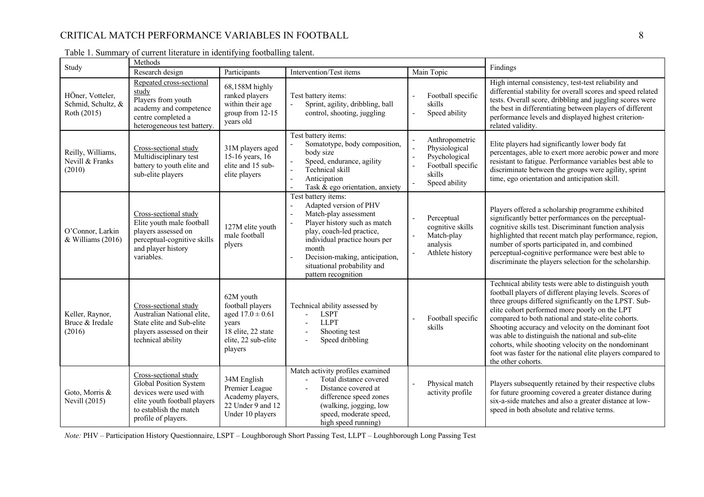## CRITICAL MATCH PERFORMANCE VARIABLES IN FOOTBALL 8

| Study                                                 | Methods                                                                                                                                                    |                                                                                                                        | Findings                                                                                                                                                                                                                                                                                  |                                                                                                                              |                                                                                                                                                                                                                                                                                                                                                                                                                                                                                                                                           |
|-------------------------------------------------------|------------------------------------------------------------------------------------------------------------------------------------------------------------|------------------------------------------------------------------------------------------------------------------------|-------------------------------------------------------------------------------------------------------------------------------------------------------------------------------------------------------------------------------------------------------------------------------------------|------------------------------------------------------------------------------------------------------------------------------|-------------------------------------------------------------------------------------------------------------------------------------------------------------------------------------------------------------------------------------------------------------------------------------------------------------------------------------------------------------------------------------------------------------------------------------------------------------------------------------------------------------------------------------------|
|                                                       | Research design                                                                                                                                            | Participants                                                                                                           | Intervention/Test items                                                                                                                                                                                                                                                                   | Main Topic                                                                                                                   |                                                                                                                                                                                                                                                                                                                                                                                                                                                                                                                                           |
| HÖner, Votteler,<br>Schmid, Schultz, &<br>Roth (2015) | Repeated cross-sectional<br>study<br>Players from youth<br>academy and competence<br>centre completed a<br>heterogeneous test battery.                     | 68,158M highly<br>ranked players<br>within their age<br>group from 12-15<br>years old                                  | Test battery items:<br>Sprint, agility, dribbling, ball<br>$\overline{a}$<br>control, shooting, juggling                                                                                                                                                                                  | Football specific<br>skills<br>Speed ability                                                                                 | High internal consistency, test-test reliability and<br>differential stability for overall scores and speed related<br>tests. Overall score, dribbling and juggling scores were<br>the best in differentiating between players of different<br>performance levels and displayed highest criterion-<br>related validity.                                                                                                                                                                                                                   |
| Reilly, Williams,<br>Nevill & Franks<br>(2010)        | Cross-sectional study<br>Multidisciplinary test<br>battery to youth elite and<br>sub-elite players                                                         | 31M players aged<br>15-16 years, 16<br>elite and 15 sub-<br>elite players                                              | Test battery items:<br>Somatotype, body composition,<br>body size<br>Speed, endurance, agility<br>$\overline{\phantom{a}}$<br>Technical skill<br>$\overline{a}$<br>$\overline{a}$<br>Anticipation<br>Task & ego orientation, anxiety<br>$\overline{a}$                                    | Anthropometric<br>Physiological<br>Psychological<br>$\overline{\phantom{a}}$<br>Football specific<br>skills<br>Speed ability | Elite players had significantly lower body fat<br>percentages, able to exert more aerobic power and more<br>resistant to fatigue. Performance variables best able to<br>discriminate between the groups were agility, sprint<br>time, ego orientation and anticipation skill.                                                                                                                                                                                                                                                             |
| O'Connor, Larkin<br>& Williams (2016)                 | Cross-sectional study<br>Elite youth male football<br>players assessed on<br>perceptual-cognitive skills<br>and player history<br>variables.               | 127M elite youth<br>male football<br>plyers                                                                            | Test battery items:<br>Adapted version of PHV<br>Match-play assessment<br>$\sim$<br>Player history such as match<br>$\sim$<br>play, coach-led practice,<br>individual practice hours per<br>month<br>Decision-making, anticipation,<br>situational probability and<br>pattern recognition | Perceptual<br>cognitive skills<br>Match-play<br>analysis<br>Athlete history                                                  | Players offered a scholarship programme exhibited<br>significantly better performances on the perceptual-<br>cognitive skills test. Discriminant function analysis<br>highlighted that recent match play performance, region,<br>number of sports participated in, and combined<br>perceptual-cognitive performance were best able to<br>discriminate the players selection for the scholarship.                                                                                                                                          |
| Keller, Raynor,<br>Bruce & Iredale<br>(2016)          | Cross-sectional study<br>Australian National elite,<br>State elite and Sub-elite<br>players assessed on their<br>technical ability                         | 62M youth<br>football players<br>aged $17.0 \pm 0.61$<br>years<br>18 elite, 22 state<br>elite, 22 sub-elite<br>players | Technical ability assessed by<br><b>LSPT</b><br><b>LLPT</b><br>$\overline{\phantom{a}}$<br>Shooting test<br>Speed dribbling<br>$\overline{\phantom{a}}$                                                                                                                                   | Football specific<br>skills                                                                                                  | Technical ability tests were able to distinguish youth<br>football players of different playing levels. Scores of<br>three groups differed significantly on the LPST. Sub-<br>elite cohort performed more poorly on the LPT<br>compared to both national and state-elite cohorts.<br>Shooting accuracy and velocity on the dominant foot<br>was able to distinguish the national and sub-elite<br>cohorts, while shooting velocity on the nondominant<br>foot was faster for the national elite players compared to<br>the other cohorts. |
| Goto, Morris &<br><b>Nevill (2015)</b>                | Cross-sectional study<br>Global Position System<br>devices were used with<br>elite youth football players<br>to establish the match<br>profile of players. | 34M English<br>Premier League<br>Academy players,<br>22 Under 9 and 12<br>Under 10 players                             | Match activity profiles examined<br>Total distance covered<br>$\sim$<br>Distance covered at<br>$\sim$<br>difference speed zones<br>(walking, jogging, low<br>speed, moderate speed,<br>high speed running)                                                                                | Physical match<br>activity profile                                                                                           | Players subsequently retained by their respective clubs<br>for future grooming covered a greater distance during<br>six-a-side matches and also a greater distance at low-<br>speed in both absolute and relative terms.                                                                                                                                                                                                                                                                                                                  |

| Table 1. Summary of current literature in identifying footballing talent. |  |  |  |
|---------------------------------------------------------------------------|--|--|--|
|                                                                           |  |  |  |

*Note:* PHV – Participation History Questionnaire, LSPT – Loughborough Short Passing Test, LLPT – Loughborough Long Passing Test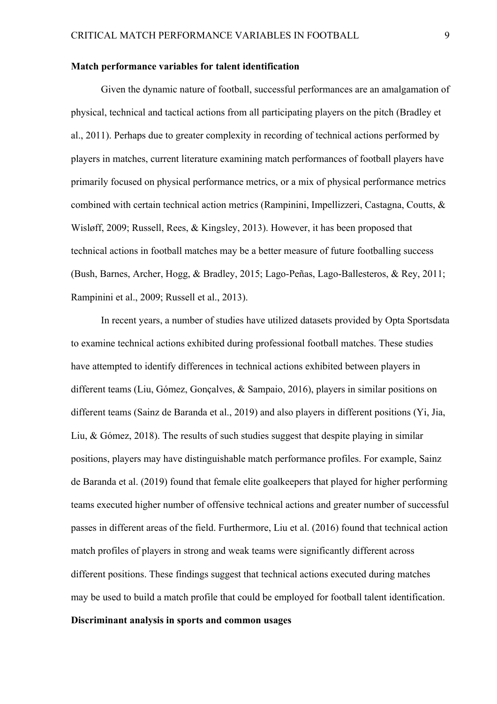#### **Match performance variables for talent identification**

Given the dynamic nature of football, successful performances are an amalgamation of physical, technical and tactical actions from all participating players on the pitch (Bradley et al., 2011). Perhaps due to greater complexity in recording of technical actions performed by players in matches, current literature examining match performances of football players have primarily focused on physical performance metrics, or a mix of physical performance metrics combined with certain technical action metrics (Rampinini, Impellizzeri, Castagna, Coutts, & Wisløff, 2009; Russell, Rees, & Kingsley, 2013). However, it has been proposed that technical actions in football matches may be a better measure of future footballing success (Bush, Barnes, Archer, Hogg, & Bradley, 2015; Lago-Peñas, Lago-Ballesteros, & Rey, 2011; Rampinini et al., 2009; Russell et al., 2013).

In recent years, a number of studies have utilized datasets provided by Opta Sportsdata to examine technical actions exhibited during professional football matches. These studies have attempted to identify differences in technical actions exhibited between players in different teams (Liu, Gómez, Gonçalves, & Sampaio, 2016), players in similar positions on different teams (Sainz de Baranda et al., 2019) and also players in different positions (Yi, Jia, Liu, & Gómez, 2018). The results of such studies suggest that despite playing in similar positions, players may have distinguishable match performance profiles. For example, Sainz de Baranda et al. (2019) found that female elite goalkeepers that played for higher performing teams executed higher number of offensive technical actions and greater number of successful passes in different areas of the field. Furthermore, Liu et al. (2016) found that technical action match profiles of players in strong and weak teams were significantly different across different positions. These findings suggest that technical actions executed during matches may be used to build a match profile that could be employed for football talent identification.

## **Discriminant analysis in sports and common usages**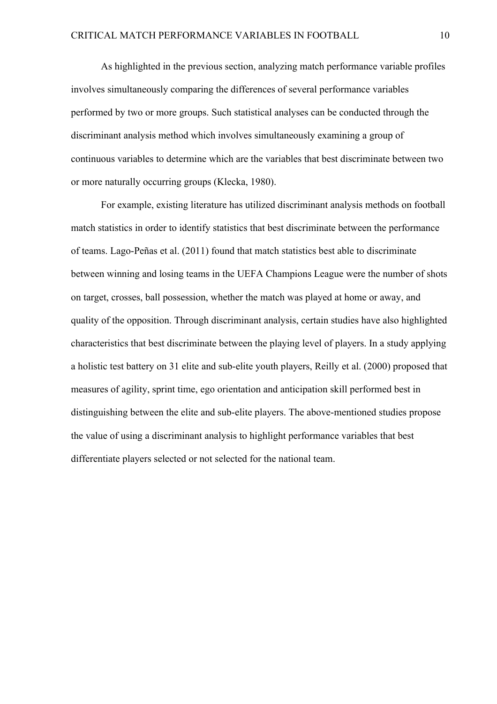As highlighted in the previous section, analyzing match performance variable profiles involves simultaneously comparing the differences of several performance variables performed by two or more groups. Such statistical analyses can be conducted through the discriminant analysis method which involves simultaneously examining a group of continuous variables to determine which are the variables that best discriminate between two or more naturally occurring groups (Klecka, 1980).

For example, existing literature has utilized discriminant analysis methods on football match statistics in order to identify statistics that best discriminate between the performance of teams. Lago-Peñas et al. (2011) found that match statistics best able to discriminate between winning and losing teams in the UEFA Champions League were the number of shots on target, crosses, ball possession, whether the match was played at home or away, and quality of the opposition. Through discriminant analysis, certain studies have also highlighted characteristics that best discriminate between the playing level of players. In a study applying a holistic test battery on 31 elite and sub-elite youth players, Reilly et al. (2000) proposed that measures of agility, sprint time, ego orientation and anticipation skill performed best in distinguishing between the elite and sub-elite players. The above-mentioned studies propose the value of using a discriminant analysis to highlight performance variables that best differentiate players selected or not selected for the national team.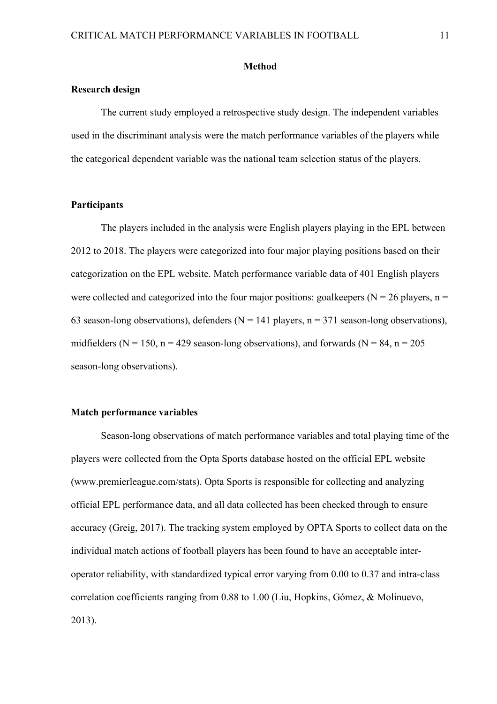#### **Method**

#### **Research design**

The current study employed a retrospective study design. The independent variables used in the discriminant analysis were the match performance variables of the players while the categorical dependent variable was the national team selection status of the players.

#### **Participants**

The players included in the analysis were English players playing in the EPL between 2012 to 2018. The players were categorized into four major playing positions based on their categorization on the EPL website. Match performance variable data of 401 English players were collected and categorized into the four major positions: goalkeepers ( $N = 26$  players,  $n =$ 63 season-long observations), defenders ( $N = 141$  players,  $n = 371$  season-long observations), midfielders ( $N = 150$ ,  $n = 429$  season-long observations), and forwards ( $N = 84$ ,  $n = 205$ season-long observations).

#### **Match performance variables**

Season-long observations of match performance variables and total playing time of the players were collected from the Opta Sports database hosted on the official EPL website (www.premierleague.com/stats). Opta Sports is responsible for collecting and analyzing official EPL performance data, and all data collected has been checked through to ensure accuracy (Greig, 2017). The tracking system employed by OPTA Sports to collect data on the individual match actions of football players has been found to have an acceptable interoperator reliability, with standardized typical error varying from 0.00 to 0.37 and intra-class correlation coefficients ranging from 0.88 to 1.00 (Liu, Hopkins, Gómez, & Molinuevo, 2013).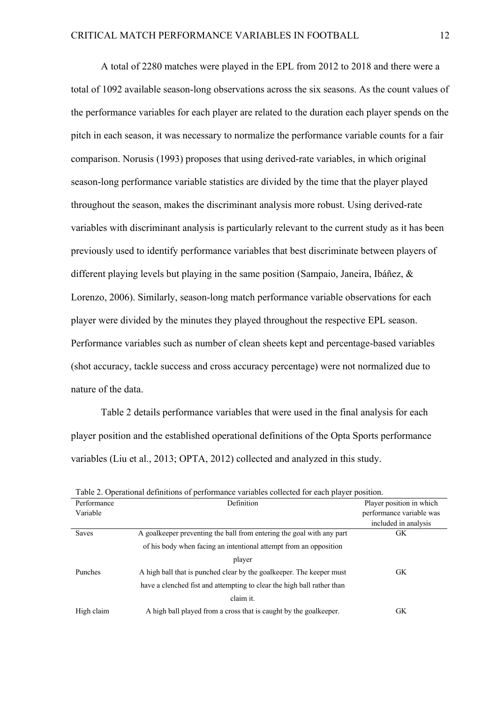A total of 2280 matches were played in the EPL from 2012 to 2018 and there were a total of 1092 available season-long observations across the six seasons. As the count values of the performance variables for each player are related to the duration each player spends on the pitch in each season, it was necessary to normalize the performance variable counts for a fair comparison. Norusis (1993) proposes that using derived-rate variables, in which original season-long performance variable statistics are divided by the time that the player played throughout the season, makes the discriminant analysis more robust. Using derived-rate variables with discriminant analysis is particularly relevant to the current study as it has been previously used to identify performance variables that best discriminate between players of different playing levels but playing in the same position (Sampaio, Janeira, Ibáñez, & Lorenzo, 2006). Similarly, season-long match performance variable observations for each player were divided by the minutes they played throughout the respective EPL season. Performance variables such as number of clean sheets kept and percentage-based variables (shot accuracy, tackle success and cross accuracy percentage) were not normalized due to nature of the data.

Table 2 details performance variables that were used in the final analysis for each player position and the established operational definitions of the Opta Sports performance variables (Liu et al., 2013; OPTA, 2012) collected and analyzed in this study.

|             | Table 2. Operational definitions of performance variables conected for each player position. |                          |  |  |  |  |
|-------------|----------------------------------------------------------------------------------------------|--------------------------|--|--|--|--|
| Performance | Definition                                                                                   | Player position in which |  |  |  |  |
| Variable    |                                                                                              | performance variable was |  |  |  |  |
|             |                                                                                              | included in analysis     |  |  |  |  |
| Saves       | A goalkeeper preventing the ball from entering the goal with any part                        | <b>GK</b>                |  |  |  |  |
|             | of his body when facing an intentional attempt from an opposition                            |                          |  |  |  |  |
|             | player                                                                                       |                          |  |  |  |  |
| Punches     | A high ball that is punched clear by the goalkeeper. The keeper must                         | GK.                      |  |  |  |  |
|             | have a clenched fist and attempting to clear the high ball rather than                       |                          |  |  |  |  |
|             | claim it.                                                                                    |                          |  |  |  |  |
| High claim  | A high ball played from a cross that is caught by the goalkeeper.                            | GK                       |  |  |  |  |

Table 2. Operational definitions of performance variables collected for each player position.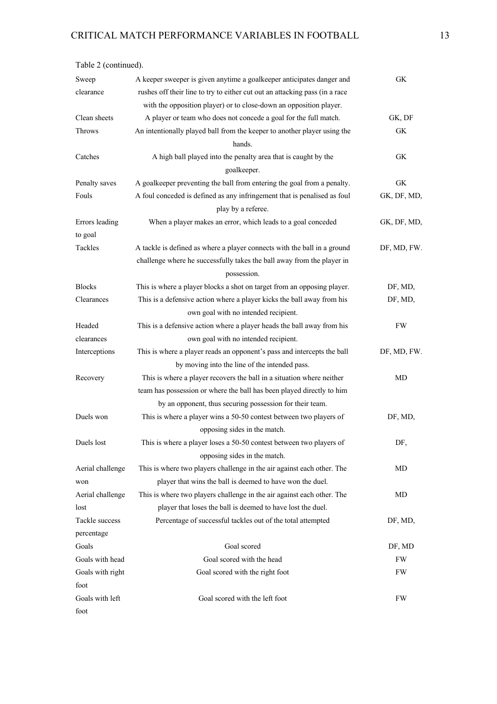| Table 2 (continued). |                                                                                                |             |
|----------------------|------------------------------------------------------------------------------------------------|-------------|
| Sweep                | A keeper sweeper is given anytime a goalkeeper anticipates danger and                          | GK.         |
| clearance            | rushes off their line to try to either cut out an attacking pass (in a race                    |             |
|                      | with the opposition player) or to close-down an opposition player.                             |             |
| Clean sheets         | A player or team who does not concede a goal for the full match.                               | GK, DF      |
| Throws               | An intentionally played ball from the keeper to another player using the                       | GK          |
|                      | hands.                                                                                         |             |
| Catches              | A high ball played into the penalty area that is caught by the<br>goalkeeper.                  | GK.         |
| Penalty saves        | A goalkeeper preventing the ball from entering the goal from a penalty.                        | GK          |
| Fouls                | A foul conceded is defined as any infringement that is penalised as foul<br>play by a referee. | GK, DF, MD, |
| Errors leading       | When a player makes an error, which leads to a goal conceded                                   | GK, DF, MD, |
| to goal              |                                                                                                |             |
| Tackles              | A tackle is defined as where a player connects with the ball in a ground                       | DF, MD, FW. |
|                      | challenge where he successfully takes the ball away from the player in                         |             |
|                      | possession.                                                                                    |             |
| <b>Blocks</b>        | This is where a player blocks a shot on target from an opposing player.                        | DF, MD,     |
| Clearances           | This is a defensive action where a player kicks the ball away from his                         | DF, MD,     |
|                      | own goal with no intended recipient.                                                           |             |
| Headed               | This is a defensive action where a player heads the ball away from his                         | <b>FW</b>   |
| clearances           | own goal with no intended recipient.                                                           |             |
| Interceptions        | This is where a player reads an opponent's pass and intercepts the ball                        | DF, MD, FW. |
|                      | by moving into the line of the intended pass.                                                  |             |
| Recovery             | This is where a player recovers the ball in a situation where neither                          | MD          |
|                      | team has possession or where the ball has been played directly to him                          |             |
|                      | by an opponent, thus securing possession for their team.                                       |             |
| Duels won            | This is where a player wins a 50-50 contest between two players of                             | DF, MD,     |
|                      | opposing sides in the match.                                                                   |             |
| Duels lost           | This is where a player loses a 50-50 contest between two players of                            | DF,         |
|                      | opposing sides in the match.                                                                   |             |
| Aerial challenge     | This is where two players challenge in the air against each other. The                         | MD          |
| won                  | player that wins the ball is deemed to have won the duel.                                      |             |
| Aerial challenge     | This is where two players challenge in the air against each other. The                         | MD          |
| lost                 | player that loses the ball is deemed to have lost the duel.                                    |             |
| Tackle success       | Percentage of successful tackles out of the total attempted                                    | DF, MD,     |
| percentage           |                                                                                                |             |
| Goals                | Goal scored                                                                                    | DF, MD      |
| Goals with head      | Goal scored with the head                                                                      | FW          |
| Goals with right     | Goal scored with the right foot                                                                | FW          |
| foot                 |                                                                                                |             |
| Goals with left      | Goal scored with the left foot                                                                 | FW          |
| foot                 |                                                                                                |             |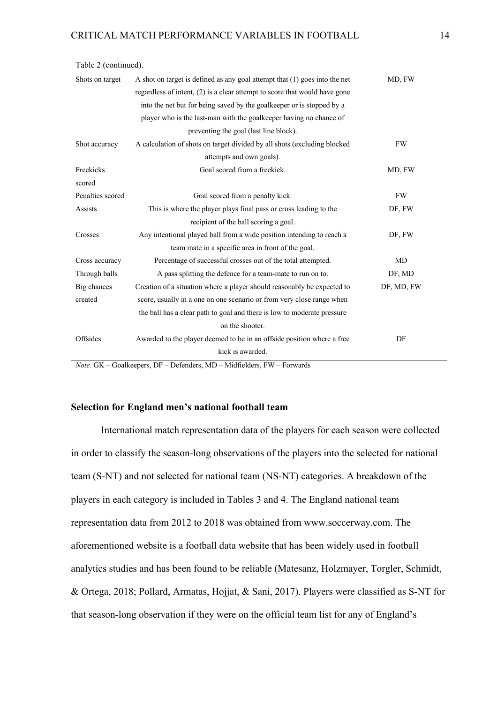| Table 2 (continued). |                                                                              |            |
|----------------------|------------------------------------------------------------------------------|------------|
| Shots on target      | A shot on target is defined as any goal attempt that $(1)$ goes into the net | MD, FW     |
|                      | regardless of intent, $(2)$ is a clear attempt to score that would have gone |            |
|                      | into the net but for being saved by the goalkeeper or is stopped by a        |            |
|                      | player who is the last-man with the goalkeeper having no chance of           |            |
|                      | preventing the goal (last line block).                                       |            |
| Shot accuracy        | A calculation of shots on target divided by all shots (excluding blocked     | <b>FW</b>  |
|                      | attempts and own goals).                                                     |            |
| Freekicks            | Goal scored from a freekick.                                                 | MD, FW     |
| scored               |                                                                              |            |
| Penalties scored     | Goal scored from a penalty kick.                                             | FW         |
| <b>Assists</b>       | This is where the player plays final pass or cross leading to the            | DF, FW     |
|                      | recipient of the ball scoring a goal.                                        |            |
| Crosses              | Any intentional played ball from a wide position intending to reach a        | DF, FW     |
|                      | team mate in a specific area in front of the goal.                           |            |
| Cross accuracy       | Percentage of successful crosses out of the total attempted.                 | MD         |
| Through balls        | A pass splitting the defence for a team-mate to run on to.                   | DF, MD     |
| Big chances          | Creation of a situation where a player should reasonably be expected to      | DF, MD, FW |
| created              | score, usually in a one on one scenario or from very close range when        |            |
|                      | the ball has a clear path to goal and there is low to moderate pressure      |            |
|                      | on the shooter.                                                              |            |
| Offsides             | Awarded to the player deemed to be in an offside position where a free       | DF         |
|                      | kick is awarded.                                                             |            |

*Note.* GK – Goalkeepers, DF – Defenders, MD – Midfielders, FW – Forwards

## **Selection for England men's national football team**

International match representation data of the players for each season were collected in order to classify the season-long observations of the players into the selected for national team (S-NT) and not selected for national team (NS-NT) categories. A breakdown of the players in each category is included in Tables 3 and 4. The England national team representation data from 2012 to 2018 was obtained from www.soccerway.com. The aforementioned website is a football data website that has been widely used in football analytics studies and has been found to be reliable (Matesanz, Holzmayer, Torgler, Schmidt, & Ortega, 2018; Pollard, Armatas, Hojjat, & Sani, 2017). Players were classified as S-NT for that season-long observation if they were on the official team list for any of England's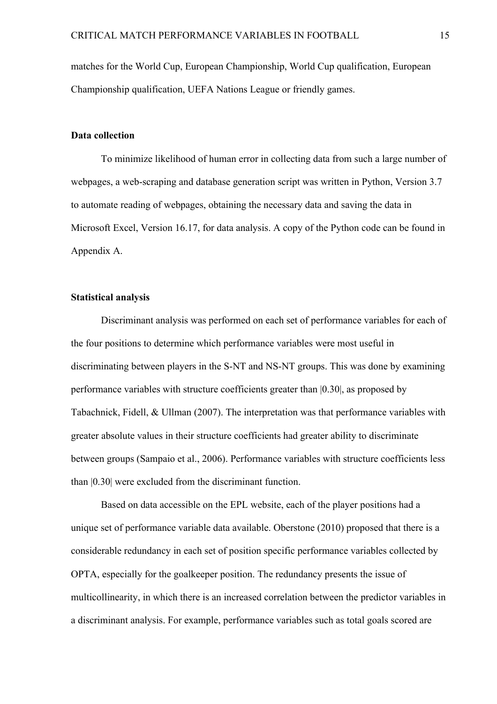matches for the World Cup, European Championship, World Cup qualification, European Championship qualification, UEFA Nations League or friendly games.

### **Data collection**

To minimize likelihood of human error in collecting data from such a large number of webpages, a web-scraping and database generation script was written in Python, Version 3.7 to automate reading of webpages, obtaining the necessary data and saving the data in Microsoft Excel, Version 16.17, for data analysis. A copy of the Python code can be found in Appendix A.

## **Statistical analysis**

Discriminant analysis was performed on each set of performance variables for each of the four positions to determine which performance variables were most useful in discriminating between players in the S-NT and NS-NT groups. This was done by examining performance variables with structure coefficients greater than |0.30|, as proposed by Tabachnick, Fidell, & Ullman (2007). The interpretation was that performance variables with greater absolute values in their structure coefficients had greater ability to discriminate between groups (Sampaio et al., 2006). Performance variables with structure coefficients less than |0.30| were excluded from the discriminant function.

Based on data accessible on the EPL website, each of the player positions had a unique set of performance variable data available. Oberstone (2010) proposed that there is a considerable redundancy in each set of position specific performance variables collected by OPTA, especially for the goalkeeper position. The redundancy presents the issue of multicollinearity, in which there is an increased correlation between the predictor variables in a discriminant analysis. For example, performance variables such as total goals scored are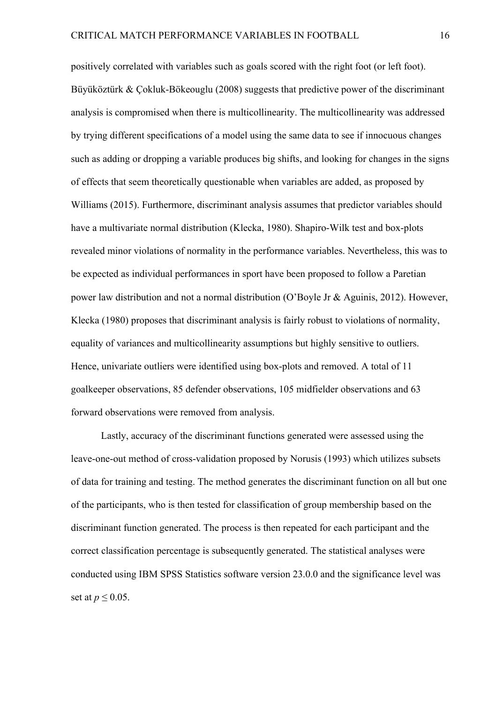positively correlated with variables such as goals scored with the right foot (or left foot). Büyüköztürk & Çokluk-Bökeouglu (2008) suggests that predictive power of the discriminant analysis is compromised when there is multicollinearity. The multicollinearity was addressed by trying different specifications of a model using the same data to see if innocuous changes such as adding or dropping a variable produces big shifts, and looking for changes in the signs of effects that seem theoretically questionable when variables are added, as proposed by Williams (2015). Furthermore, discriminant analysis assumes that predictor variables should have a multivariate normal distribution (Klecka, 1980). Shapiro-Wilk test and box-plots revealed minor violations of normality in the performance variables. Nevertheless, this was to be expected as individual performances in sport have been proposed to follow a Paretian power law distribution and not a normal distribution (O'Boyle Jr & Aguinis, 2012). However, Klecka (1980) proposes that discriminant analysis is fairly robust to violations of normality, equality of variances and multicollinearity assumptions but highly sensitive to outliers. Hence, univariate outliers were identified using box-plots and removed. A total of 11 goalkeeper observations, 85 defender observations, 105 midfielder observations and 63 forward observations were removed from analysis.

Lastly, accuracy of the discriminant functions generated were assessed using the leave-one-out method of cross-validation proposed by Norusis (1993) which utilizes subsets of data for training and testing. The method generates the discriminant function on all but one of the participants, who is then tested for classification of group membership based on the discriminant function generated. The process is then repeated for each participant and the correct classification percentage is subsequently generated. The statistical analyses were conducted using IBM SPSS Statistics software version 23.0.0 and the significance level was set at  $p \leq 0.05$ .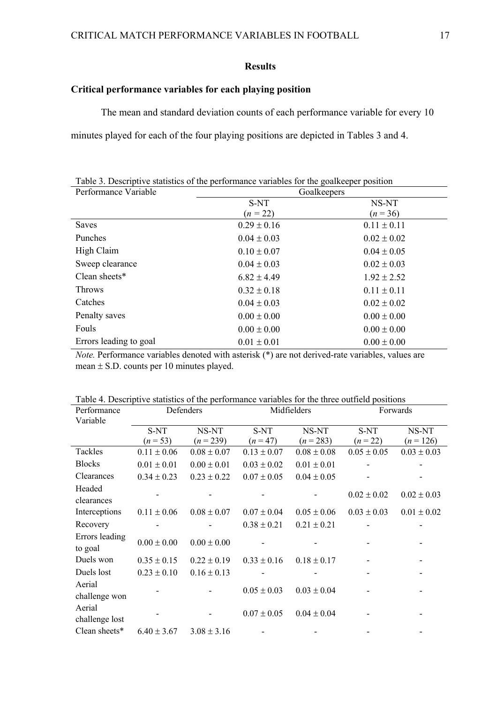## **Results**

## **Critical performance variables for each playing position**

The mean and standard deviation counts of each performance variable for every 10

minutes played for each of the four playing positions are depicted in Tables 3 and 4.

| Table 3. Descriptive statistics of the performance variables for the goalkeeper position |                 |                 |  |  |  |
|------------------------------------------------------------------------------------------|-----------------|-----------------|--|--|--|
| Performance Variable                                                                     | Goalkeepers     |                 |  |  |  |
|                                                                                          | S-NT            | NS-NT           |  |  |  |
|                                                                                          | $(n = 22)$      | $(n=36)$        |  |  |  |
| <b>Saves</b>                                                                             | $0.29 \pm 0.16$ | $0.11 \pm 0.11$ |  |  |  |
| Punches                                                                                  | $0.04 \pm 0.03$ | $0.02 \pm 0.02$ |  |  |  |
| High Claim                                                                               | $0.10 \pm 0.07$ | $0.04 \pm 0.05$ |  |  |  |
| Sweep clearance                                                                          | $0.04 \pm 0.03$ | $0.02 \pm 0.03$ |  |  |  |
| Clean sheets $*$                                                                         | $6.82 \pm 4.49$ | $1.92 \pm 2.52$ |  |  |  |
| <b>Throws</b>                                                                            | $0.32 \pm 0.18$ | $0.11 \pm 0.11$ |  |  |  |
| Catches                                                                                  | $0.04 \pm 0.03$ | $0.02 \pm 0.02$ |  |  |  |
| Penalty saves                                                                            | $0.00 \pm 0.00$ | $0.00 \pm 0.00$ |  |  |  |
| Fouls                                                                                    | $0.00 \pm 0.00$ | $0.00 \pm 0.00$ |  |  |  |
| Errors leading to goal                                                                   | $0.01 \pm 0.01$ | $0.00 \pm 0.00$ |  |  |  |

*Note.* Performance variables denoted with asterisk (\*) are not derived-rate variables, values are mean ± S.D. counts per 10 minutes played.

| Performance               | Defenders       |                 | Midfielders     |                 | Forwards        |                 |
|---------------------------|-----------------|-----------------|-----------------|-----------------|-----------------|-----------------|
| Variable                  |                 |                 |                 |                 |                 |                 |
|                           | S-NT            | NS-NT           | S-NT            | NS-NT           | S-NT            | NS-NT           |
|                           | $(n = 53)$      | $(n=239)$       | $(n = 47)$      | $(n = 283)$     | $(n = 22)$      | $(n=126)$       |
| Tackles                   | $0.11 \pm 0.06$ | $0.08 \pm 0.07$ | $0.13 \pm 0.07$ | $0.08 \pm 0.08$ | $0.05 \pm 0.05$ | $0.03 \pm 0.03$ |
| <b>Blocks</b>             | $0.01 \pm 0.01$ | $0.00 \pm 0.01$ | $0.03 \pm 0.02$ | $0.01 \pm 0.01$ |                 |                 |
| Clearances                | $0.34 \pm 0.23$ | $0.23 \pm 0.22$ | $0.07 \pm 0.05$ | $0.04 \pm 0.05$ |                 |                 |
| Headed<br>clearances      |                 |                 |                 |                 | $0.02 \pm 0.02$ | $0.02 \pm 0.03$ |
| Interceptions             | $0.11 \pm 0.06$ | $0.08 \pm 0.07$ | $0.07 \pm 0.04$ | $0.05 \pm 0.06$ | $0.03 \pm 0.03$ | $0.01 \pm 0.02$ |
| Recovery                  |                 |                 | $0.38 \pm 0.21$ | $0.21 \pm 0.21$ |                 |                 |
| Errors leading<br>to goal | $0.00 \pm 0.00$ | $0.00 \pm 0.00$ |                 |                 |                 |                 |
| Duels won                 | $0.35 \pm 0.15$ | $0.22 \pm 0.19$ | $0.33 \pm 0.16$ | $0.18 \pm 0.17$ |                 |                 |
| Duels lost                | $0.23 \pm 0.10$ | $0.16 \pm 0.13$ |                 |                 |                 |                 |
| Aerial<br>challenge won   |                 |                 | $0.05 \pm 0.03$ | $0.03 \pm 0.04$ |                 |                 |
| Aerial<br>challenge lost  |                 |                 | $0.07 \pm 0.05$ | $0.04 \pm 0.04$ |                 |                 |
| Clean sheets*             | $6.40 \pm 3.67$ | $3.08 \pm 3.16$ |                 |                 |                 |                 |

Table 4. Descriptive statistics of the performance variables for the three outfield positions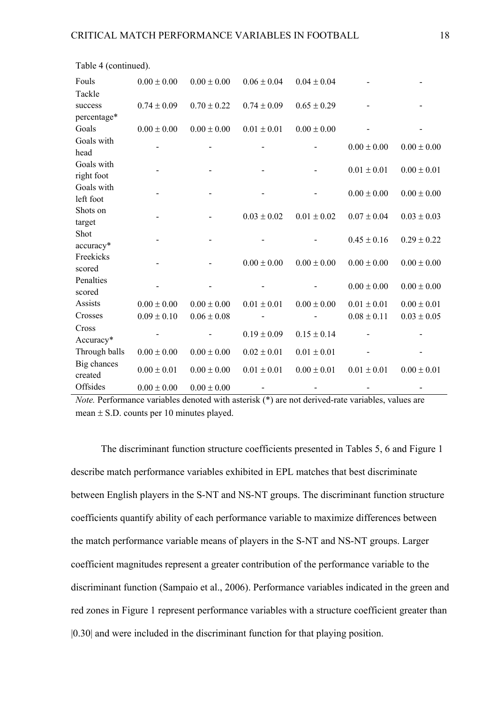| Fouls                  | $0.00 \pm 0.00$ | $0.00 \pm 0.00$ | $0.06 \pm 0.04$ | $0.04 \pm 0.04$ |                 |                 |
|------------------------|-----------------|-----------------|-----------------|-----------------|-----------------|-----------------|
| Tackle                 |                 |                 |                 |                 |                 |                 |
| success                | $0.74 \pm 0.09$ | $0.70 \pm 0.22$ | $0.74 \pm 0.09$ | $0.65 \pm 0.29$ |                 |                 |
| percentage*            |                 |                 |                 |                 |                 |                 |
| Goals                  | $0.00 \pm 0.00$ | $0.00 \pm 0.00$ | $0.01 \pm 0.01$ | $0.00 \pm 0.00$ |                 |                 |
| Goals with             |                 |                 |                 |                 |                 |                 |
| head                   |                 |                 |                 |                 | $0.00 \pm 0.00$ | $0.00 \pm 0.00$ |
| Goals with             |                 |                 |                 |                 |                 |                 |
| right foot             |                 |                 |                 |                 | $0.01 \pm 0.01$ | $0.00 \pm 0.01$ |
| Goals with             |                 |                 |                 |                 |                 |                 |
| left foot              |                 |                 |                 |                 | $0.00 \pm 0.00$ | $0.00 \pm 0.00$ |
| Shots on               |                 |                 |                 |                 |                 |                 |
| target                 |                 |                 | $0.03 \pm 0.02$ | $0.01 \pm 0.02$ | $0.07 \pm 0.04$ | $0.03 \pm 0.03$ |
| Shot                   |                 |                 |                 |                 |                 |                 |
| accuracy*              |                 |                 |                 |                 | $0.45 \pm 0.16$ | $0.29 \pm 0.22$ |
| Freekicks              |                 |                 |                 |                 |                 |                 |
| scored                 |                 |                 | $0.00 \pm 0.00$ | $0.00 \pm 0.00$ | $0.00 \pm 0.00$ | $0.00 \pm 0.00$ |
| Penalties              |                 |                 |                 |                 |                 |                 |
| scored                 |                 |                 |                 |                 | $0.00 \pm 0.00$ | $0.00 \pm 0.00$ |
| Assists                | $0.00 \pm 0.00$ | $0.00 \pm 0.00$ | $0.01 \pm 0.01$ | $0.00 \pm 0.00$ | $0.01 \pm 0.01$ | $0.00 \pm 0.01$ |
| Crosses                | $0.09 \pm 0.10$ | $0.06 \pm 0.08$ |                 |                 | $0.08 \pm 0.11$ | $0.03 \pm 0.05$ |
| Cross                  |                 |                 |                 |                 |                 |                 |
| Accuracy*              |                 |                 | $0.19 \pm 0.09$ | $0.15 \pm 0.14$ |                 |                 |
| Through balls          | $0.00 \pm 0.00$ | $0.00 \pm 0.00$ | $0.02 \pm 0.01$ | $0.01 \pm 0.01$ |                 |                 |
| Big chances<br>created | $0.00 \pm 0.01$ | $0.00 \pm 0.00$ | $0.01 \pm 0.01$ | $0.00 \pm 0.01$ | $0.01 \pm 0.01$ | $0.00 \pm 0.01$ |
| Offsides               | $0.00 \pm 0.00$ | $0.00 \pm 0.00$ |                 |                 |                 |                 |

Table 4 (continued).

*Note.* Performance variables denoted with asterisk (\*) are not derived-rate variables, values are mean  $\pm$  S.D. counts per 10 minutes played.

The discriminant function structure coefficients presented in Tables 5, 6 and Figure 1 describe match performance variables exhibited in EPL matches that best discriminate between English players in the S-NT and NS-NT groups. The discriminant function structure coefficients quantify ability of each performance variable to maximize differences between the match performance variable means of players in the S-NT and NS-NT groups. Larger coefficient magnitudes represent a greater contribution of the performance variable to the discriminant function (Sampaio et al., 2006). Performance variables indicated in the green and red zones in Figure 1 represent performance variables with a structure coefficient greater than |0.30| and were included in the discriminant function for that playing position.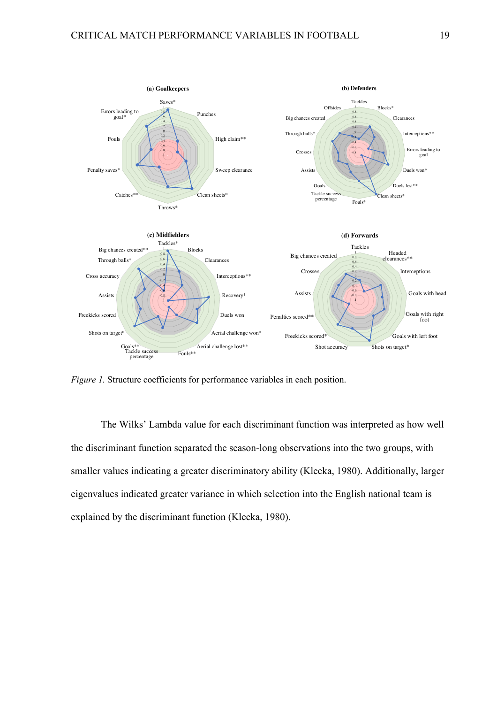

*Figure 1.* Structure coefficients for performance variables in each position.

The Wilks' Lambda value for each discriminant function was interpreted as how well the discriminant function separated the season-long observations into the two groups, with smaller values indicating a greater discriminatory ability (Klecka, 1980). Additionally, larger eigenvalues indicated greater variance in which selection into the English national team is explained by the discriminant function (Klecka, 1980).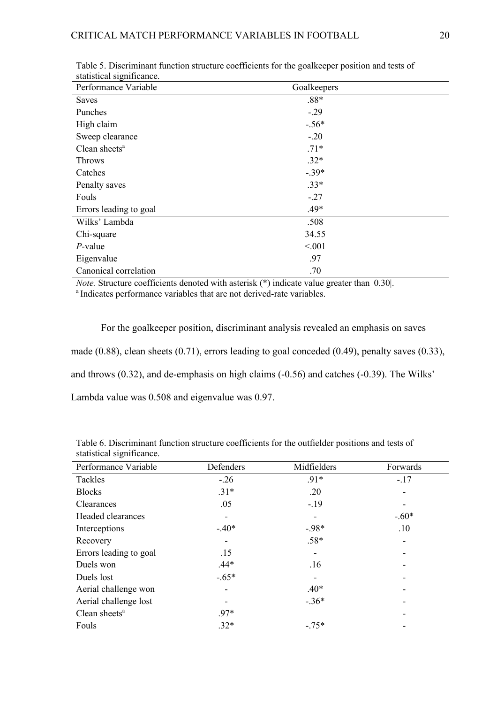| biumbirum biginneunte.<br>Performance Variable | Goalkeepers |  |
|------------------------------------------------|-------------|--|
| Saves                                          | $.88*$      |  |
| Punches                                        | $-.29$      |  |
| High claim                                     | $-.56*$     |  |
| Sweep clearance                                | $-.20$      |  |
| Clean sheets <sup>a</sup>                      | $.71*$      |  |
| <b>Throws</b>                                  | $.32*$      |  |
| Catches                                        | $-.39*$     |  |
| Penalty saves                                  | $.33*$      |  |
| Fouls                                          | $-.27$      |  |
| Errors leading to goal                         | .49*        |  |
| Wilks' Lambda                                  | .508        |  |
| Chi-square                                     | 34.55       |  |
| $P$ -value                                     | < 0.01      |  |
| Eigenvalue                                     | .97         |  |
| Canonical correlation                          | .70         |  |

Table 5. Discriminant function structure coefficients for the goalkeeper position and tests of statistical significance.

*Note.* Structure coefficients denoted with asterisk (\*) indicate value greater than [0.30]. <sup>a</sup> Indicates performance variables that are not derived-rate variables.

For the goalkeeper position, discriminant analysis revealed an emphasis on saves made (0.88), clean sheets (0.71), errors leading to goal conceded (0.49), penalty saves (0.33), and throws (0.32), and de-emphasis on high claims (-0.56) and catches (-0.39). The Wilks' Lambda value was 0.508 and eigenvalue was 0.97.

| Performance Variable      | Defenders                | Midfielders | Forwards |
|---------------------------|--------------------------|-------------|----------|
| Tackles                   | $-.26$                   | $.91*$      | $-.17$   |
| <b>Blocks</b>             | $.31*$                   | .20         |          |
| <b>Clearances</b>         | .05                      | $-19$       |          |
| Headed clearances         |                          |             | $-.60*$  |
| Interceptions             | $-.40*$                  | $-98*$      | .10      |
| Recovery                  |                          | $.58*$      |          |
| Errors leading to goal    | .15                      |             |          |
| Duels won                 | $.44*$                   | .16         |          |
| Duels lost                | $-.65*$                  |             |          |
| Aerial challenge won      | $\overline{\phantom{0}}$ | $.40*$      |          |
| Aerial challenge lost     |                          | $-.36*$     |          |
| Clean sheets <sup>a</sup> | $.97*$                   |             |          |
| Fouls                     | $.32*$                   | $-.75*$     |          |
|                           |                          |             |          |

Table 6. Discriminant function structure coefficients for the outfielder positions and tests of statistical significance.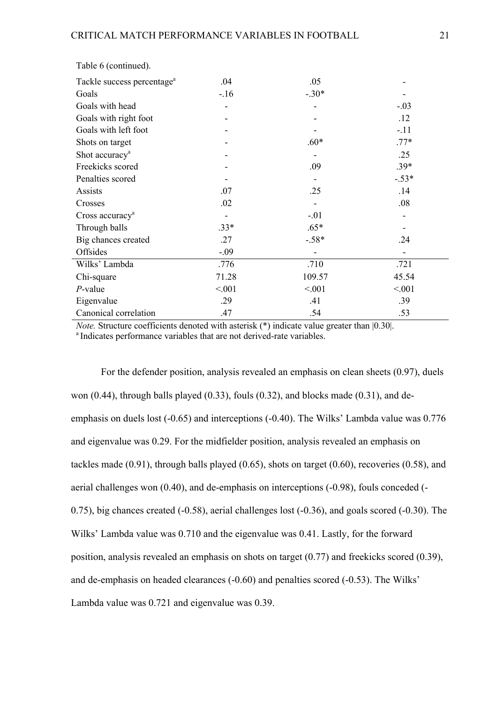| Tackle success percentage <sup>a</sup> | .04    | .05     |         |
|----------------------------------------|--------|---------|---------|
| Goals                                  | $-16$  | $-.30*$ |         |
| Goals with head                        |        |         | $-.03$  |
| Goals with right foot                  |        |         | .12     |
| Goals with left foot                   |        |         | $-.11$  |
| Shots on target                        |        | $.60*$  | $.77*$  |
| Shot accuracy <sup>a</sup>             |        |         | .25     |
| Freekicks scored                       |        | .09     | $.39*$  |
| Penalties scored                       |        |         | $-.53*$ |
| Assists                                | .07    | .25     | .14     |
| Crosses                                | .02    |         | .08     |
| Cross accuracy <sup>a</sup>            |        | $-.01$  |         |
| Through balls                          | $.33*$ | $.65*$  |         |
| Big chances created                    | .27    | $-.58*$ | .24     |
| Offsides                               | $-.09$ |         |         |
| Wilks' Lambda                          | .776   | .710    | .721    |
| Chi-square                             | 71.28  | 109.57  | 45.54   |
| $P$ -value                             | < 0.01 | < 0.01  | < 0.001 |
| Eigenvalue                             | .29    | .41     | .39     |
| Canonical correlation                  | .47    | .54     | .53     |

Table 6 (continued).

*Note.* Structure coefficients denoted with asterisk (\*) indicate value greater than [0.30]. <sup>a</sup> Indicates performance variables that are not derived-rate variables.

For the defender position, analysis revealed an emphasis on clean sheets (0.97), duels won (0.44), through balls played (0.33), fouls (0.32), and blocks made (0.31), and deemphasis on duels lost (-0.65) and interceptions (-0.40). The Wilks' Lambda value was 0.776 and eigenvalue was 0.29. For the midfielder position, analysis revealed an emphasis on tackles made (0.91), through balls played (0.65), shots on target (0.60), recoveries (0.58), and aerial challenges won (0.40), and de-emphasis on interceptions (-0.98), fouls conceded (- 0.75), big chances created (-0.58), aerial challenges lost (-0.36), and goals scored (-0.30). The Wilks' Lambda value was 0.710 and the eigenvalue was 0.41. Lastly, for the forward position, analysis revealed an emphasis on shots on target (0.77) and freekicks scored (0.39), and de-emphasis on headed clearances (-0.60) and penalties scored (-0.53). The Wilks' Lambda value was 0.721 and eigenvalue was 0.39.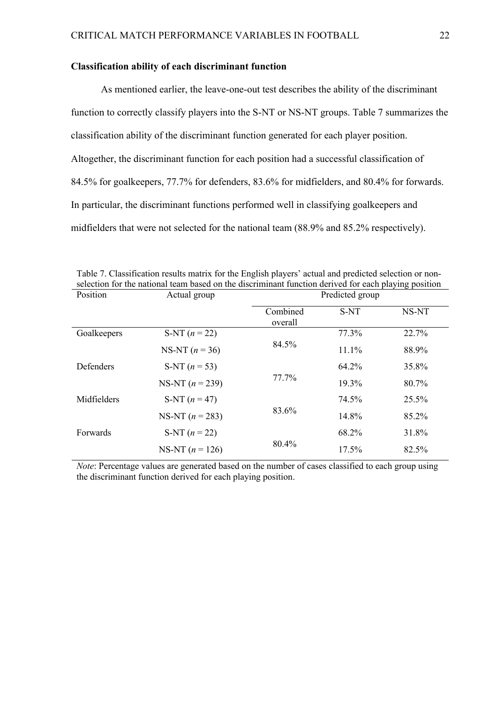#### **Classification ability of each discriminant function**

As mentioned earlier, the leave-one-out test describes the ability of the discriminant function to correctly classify players into the S-NT or NS-NT groups. Table 7 summarizes the classification ability of the discriminant function generated for each player position. Altogether, the discriminant function for each position had a successful classification of 84.5% for goalkeepers, 77.7% for defenders, 83.6% for midfielders, and 80.4% for forwards. In particular, the discriminant functions performed well in classifying goalkeepers and midfielders that were not selected for the national team (88.9% and 85.2% respectively).

| selection for the national team based on the discriminant function derived for each playing position |                   |                 |          |       |  |  |
|------------------------------------------------------------------------------------------------------|-------------------|-----------------|----------|-------|--|--|
| Position                                                                                             | Actual group      | Predicted group |          |       |  |  |
|                                                                                                      |                   | Combined        | S-NT     | NS-NT |  |  |
|                                                                                                      |                   | overall         |          |       |  |  |
| Goalkeepers                                                                                          | S-NT $(n = 22)$   |                 | 77.3%    | 22.7% |  |  |
|                                                                                                      | NS-NT $(n = 36)$  | 84.5%           | 11.1%    | 88.9% |  |  |
| Defenders                                                                                            | S-NT $(n = 53)$   |                 | 64.2%    | 35.8% |  |  |
|                                                                                                      | NS-NT $(n = 239)$ | 77.7%           | 19.3%    | 80.7% |  |  |
| Midfielders                                                                                          | S-NT $(n = 47)$   |                 | 74.5%    | 25.5% |  |  |
|                                                                                                      | NS-NT $(n = 283)$ | 83.6%           | 14.8%    | 85.2% |  |  |
| Forwards                                                                                             | S-NT $(n = 22)$   |                 | 68.2%    | 31.8% |  |  |
|                                                                                                      | NS-NT $(n = 126)$ | 80.4%           | $17.5\%$ | 82.5% |  |  |

Table 7. Classification results matrix for the English players' actual and predicted selection or nonselection for the national team based on the discriminant function derived for each playing position

*Note*: Percentage values are generated based on the number of cases classified to each group using the discriminant function derived for each playing position.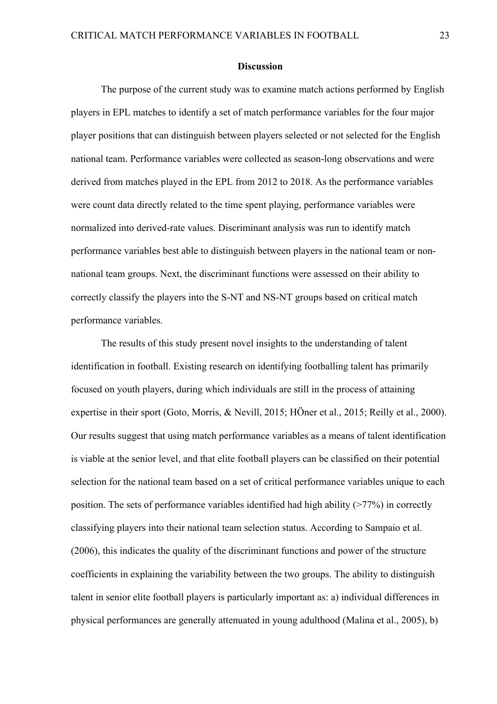#### **Discussion**

The purpose of the current study was to examine match actions performed by English players in EPL matches to identify a set of match performance variables for the four major player positions that can distinguish between players selected or not selected for the English national team. Performance variables were collected as season-long observations and were derived from matches played in the EPL from 2012 to 2018. As the performance variables were count data directly related to the time spent playing, performance variables were normalized into derived-rate values. Discriminant analysis was run to identify match performance variables best able to distinguish between players in the national team or nonnational team groups. Next, the discriminant functions were assessed on their ability to correctly classify the players into the S-NT and NS-NT groups based on critical match performance variables.

The results of this study present novel insights to the understanding of talent identification in football. Existing research on identifying footballing talent has primarily focused on youth players, during which individuals are still in the process of attaining expertise in their sport (Goto, Morris, & Nevill, 2015; HÖner et al., 2015; Reilly et al., 2000). Our results suggest that using match performance variables as a means of talent identification is viable at the senior level, and that elite football players can be classified on their potential selection for the national team based on a set of critical performance variables unique to each position. The sets of performance variables identified had high ability  $(277%)$  in correctly classifying players into their national team selection status. According to Sampaio et al. (2006), this indicates the quality of the discriminant functions and power of the structure coefficients in explaining the variability between the two groups. The ability to distinguish talent in senior elite football players is particularly important as: a) individual differences in physical performances are generally attenuated in young adulthood (Malina et al., 2005), b)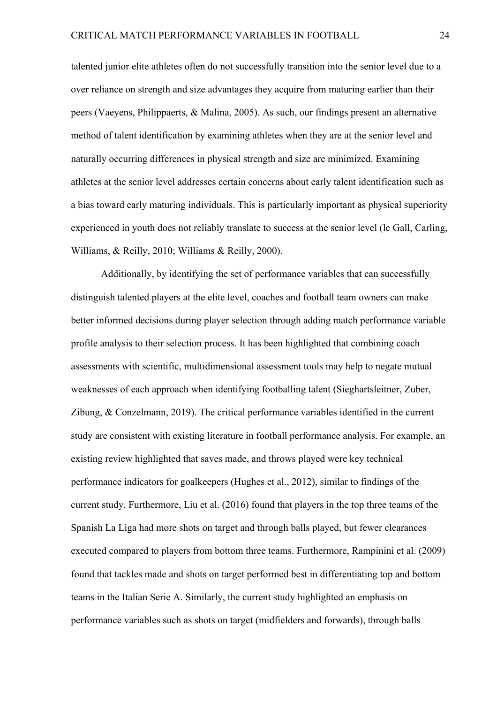talented junior elite athletes often do not successfully transition into the senior level due to a over reliance on strength and size advantages they acquire from maturing earlier than their peers (Vaeyens, Philippaerts, & Malina, 2005). As such, our findings present an alternative method of talent identification by examining athletes when they are at the senior level and naturally occurring differences in physical strength and size are minimized. Examining athletes at the senior level addresses certain concerns about early talent identification such as a bias toward early maturing individuals. This is particularly important as physical superiority experienced in youth does not reliably translate to success at the senior level (le Gall, Carling, Williams, & Reilly, 2010; Williams & Reilly, 2000).

Additionally, by identifying the set of performance variables that can successfully distinguish talented players at the elite level, coaches and football team owners can make better informed decisions during player selection through adding match performance variable profile analysis to their selection process. It has been highlighted that combining coach assessments with scientific, multidimensional assessment tools may help to negate mutual weaknesses of each approach when identifying footballing talent (Sieghartsleitner, Zuber, Zibung, & Conzelmann, 2019). The critical performance variables identified in the current study are consistent with existing literature in football performance analysis. For example, an existing review highlighted that saves made, and throws played were key technical performance indicators for goalkeepers (Hughes et al., 2012), similar to findings of the current study. Furthermore, Liu et al. (2016) found that players in the top three teams of the Spanish La Liga had more shots on target and through balls played, but fewer clearances executed compared to players from bottom three teams. Furthermore, Rampinini et al. (2009) found that tackles made and shots on target performed best in differentiating top and bottom teams in the Italian Serie A. Similarly, the current study highlighted an emphasis on performance variables such as shots on target (midfielders and forwards), through balls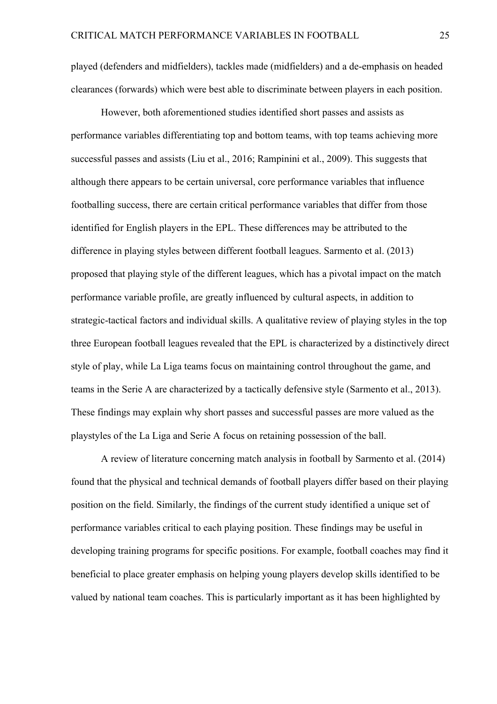played (defenders and midfielders), tackles made (midfielders) and a de-emphasis on headed clearances (forwards) which were best able to discriminate between players in each position.

However, both aforementioned studies identified short passes and assists as performance variables differentiating top and bottom teams, with top teams achieving more successful passes and assists (Liu et al., 2016; Rampinini et al., 2009). This suggests that although there appears to be certain universal, core performance variables that influence footballing success, there are certain critical performance variables that differ from those identified for English players in the EPL. These differences may be attributed to the difference in playing styles between different football leagues. Sarmento et al. (2013) proposed that playing style of the different leagues, which has a pivotal impact on the match performance variable profile, are greatly influenced by cultural aspects, in addition to strategic-tactical factors and individual skills. A qualitative review of playing styles in the top three European football leagues revealed that the EPL is characterized by a distinctively direct style of play, while La Liga teams focus on maintaining control throughout the game, and teams in the Serie A are characterized by a tactically defensive style (Sarmento et al., 2013). These findings may explain why short passes and successful passes are more valued as the playstyles of the La Liga and Serie A focus on retaining possession of the ball.

A review of literature concerning match analysis in football by Sarmento et al. (2014) found that the physical and technical demands of football players differ based on their playing position on the field. Similarly, the findings of the current study identified a unique set of performance variables critical to each playing position. These findings may be useful in developing training programs for specific positions. For example, football coaches may find it beneficial to place greater emphasis on helping young players develop skills identified to be valued by national team coaches. This is particularly important as it has been highlighted by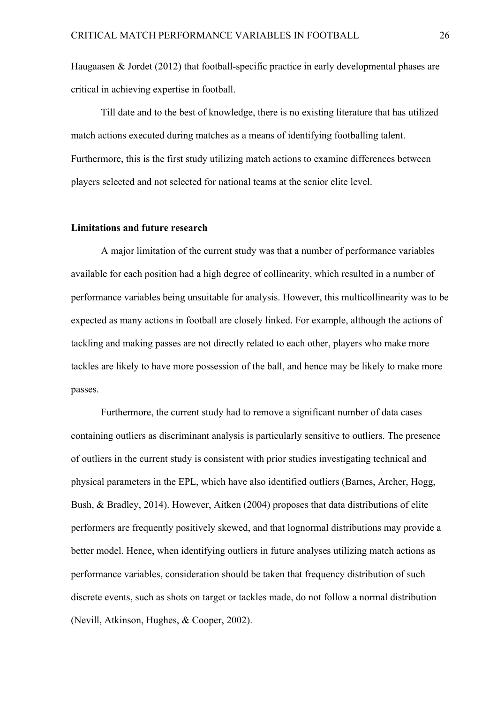Haugaasen & Jordet (2012) that football-specific practice in early developmental phases are critical in achieving expertise in football.

Till date and to the best of knowledge, there is no existing literature that has utilized match actions executed during matches as a means of identifying footballing talent. Furthermore, this is the first study utilizing match actions to examine differences between players selected and not selected for national teams at the senior elite level.

#### **Limitations and future research**

A major limitation of the current study was that a number of performance variables available for each position had a high degree of collinearity, which resulted in a number of performance variables being unsuitable for analysis. However, this multicollinearity was to be expected as many actions in football are closely linked. For example, although the actions of tackling and making passes are not directly related to each other, players who make more tackles are likely to have more possession of the ball, and hence may be likely to make more passes.

Furthermore, the current study had to remove a significant number of data cases containing outliers as discriminant analysis is particularly sensitive to outliers. The presence of outliers in the current study is consistent with prior studies investigating technical and physical parameters in the EPL, which have also identified outliers (Barnes, Archer, Hogg, Bush, & Bradley, 2014). However, Aitken (2004) proposes that data distributions of elite performers are frequently positively skewed, and that lognormal distributions may provide a better model. Hence, when identifying outliers in future analyses utilizing match actions as performance variables, consideration should be taken that frequency distribution of such discrete events, such as shots on target or tackles made, do not follow a normal distribution (Nevill, Atkinson, Hughes, & Cooper, 2002).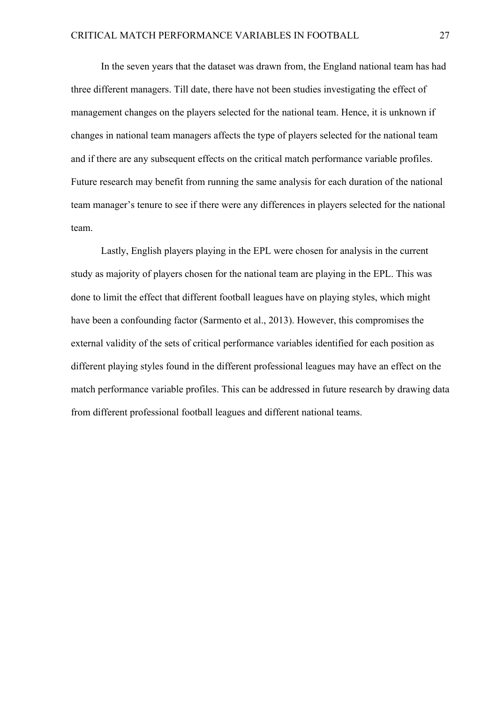In the seven years that the dataset was drawn from, the England national team has had three different managers. Till date, there have not been studies investigating the effect of management changes on the players selected for the national team. Hence, it is unknown if changes in national team managers affects the type of players selected for the national team and if there are any subsequent effects on the critical match performance variable profiles. Future research may benefit from running the same analysis for each duration of the national team manager's tenure to see if there were any differences in players selected for the national team.

Lastly, English players playing in the EPL were chosen for analysis in the current study as majority of players chosen for the national team are playing in the EPL. This was done to limit the effect that different football leagues have on playing styles, which might have been a confounding factor (Sarmento et al., 2013). However, this compromises the external validity of the sets of critical performance variables identified for each position as different playing styles found in the different professional leagues may have an effect on the match performance variable profiles. This can be addressed in future research by drawing data from different professional football leagues and different national teams.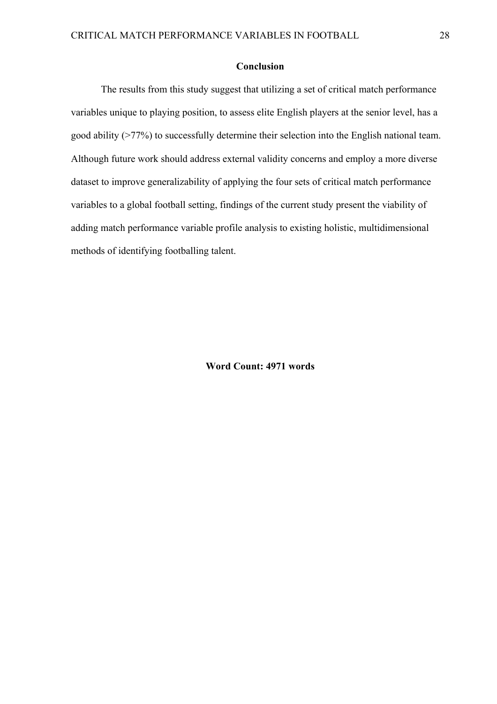#### **Conclusion**

The results from this study suggest that utilizing a set of critical match performance variables unique to playing position, to assess elite English players at the senior level, has a good ability (>77%) to successfully determine their selection into the English national team. Although future work should address external validity concerns and employ a more diverse dataset to improve generalizability of applying the four sets of critical match performance variables to a global football setting, findings of the current study present the viability of adding match performance variable profile analysis to existing holistic, multidimensional methods of identifying footballing talent.

**Word Count: 4971 words**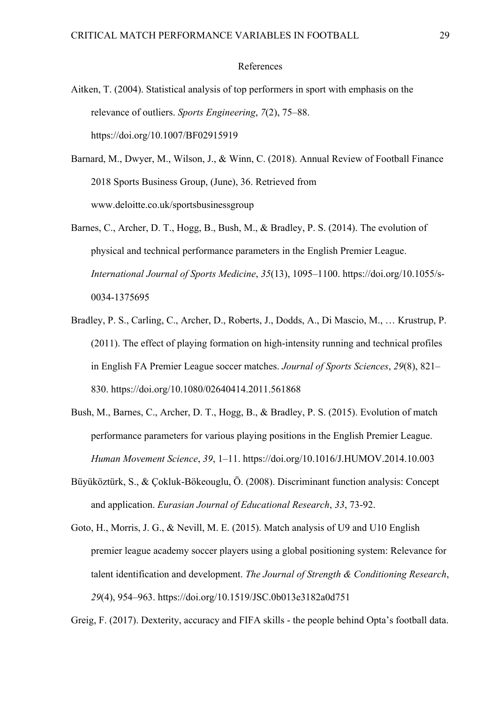#### References

- Aitken, T. (2004). Statistical analysis of top performers in sport with emphasis on the relevance of outliers. *Sports Engineering*, *7*(2), 75–88. https://doi.org/10.1007/BF02915919
- Barnard, M., Dwyer, M., Wilson, J., & Winn, C. (2018). Annual Review of Football Finance 2018 Sports Business Group, (June), 36. Retrieved from www.deloitte.co.uk/sportsbusinessgroup
- Barnes, C., Archer, D. T., Hogg, B., Bush, M., & Bradley, P. S. (2014). The evolution of physical and technical performance parameters in the English Premier League. *International Journal of Sports Medicine*, *35*(13), 1095–1100. https://doi.org/10.1055/s-0034-1375695
- Bradley, P. S., Carling, C., Archer, D., Roberts, J., Dodds, A., Di Mascio, M., … Krustrup, P. (2011). The effect of playing formation on high-intensity running and technical profiles in English FA Premier League soccer matches. *Journal of Sports Sciences*, *29*(8), 821– 830. https://doi.org/10.1080/02640414.2011.561868
- Bush, M., Barnes, C., Archer, D. T., Hogg, B., & Bradley, P. S. (2015). Evolution of match performance parameters for various playing positions in the English Premier League. *Human Movement Science*, *39*, 1–11. https://doi.org/10.1016/J.HUMOV.2014.10.003
- Büyüköztürk, S., & Çokluk-Bökeouglu, Ö. (2008). Discriminant function analysis: Concept and application. *Eurasian Journal of Educational Research*, *33*, 73-92.
- Goto, H., Morris, J. G., & Nevill, M. E. (2015). Match analysis of U9 and U10 English premier league academy soccer players using a global positioning system: Relevance for talent identification and development. *The Journal of Strength & Conditioning Research*, *29*(4), 954–963. https://doi.org/10.1519/JSC.0b013e3182a0d751

Greig, F. (2017). Dexterity, accuracy and FIFA skills - the people behind Opta's football data.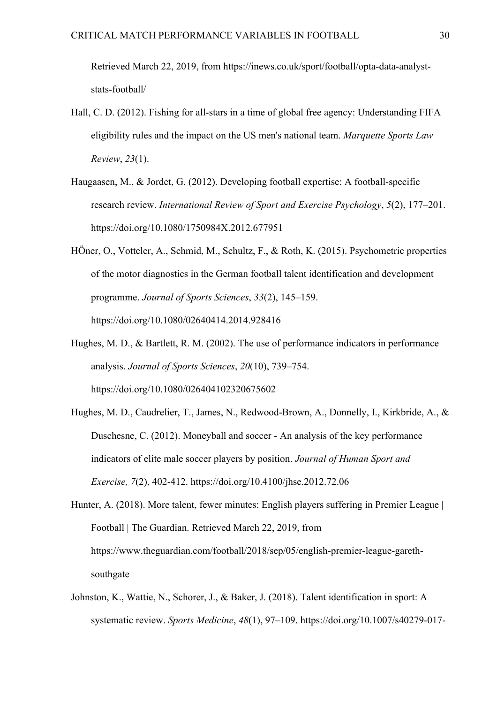Retrieved March 22, 2019, from https://inews.co.uk/sport/football/opta-data-analyststats-football/

- Hall, C. D. (2012). Fishing for all-stars in a time of global free agency: Understanding FIFA eligibility rules and the impact on the US men's national team. *Marquette Sports Law Review*, *23*(1).
- Haugaasen, M., & Jordet, G. (2012). Developing football expertise: A football-specific research review. *International Review of Sport and Exercise Psychology*, *5*(2), 177–201. https://doi.org/10.1080/1750984X.2012.677951
- HÖner, O., Votteler, A., Schmid, M., Schultz, F., & Roth, K. (2015). Psychometric properties of the motor diagnostics in the German football talent identification and development programme. *Journal of Sports Sciences*, *33*(2), 145–159. https://doi.org/10.1080/02640414.2014.928416
- Hughes, M. D., & Bartlett, R. M. (2002). The use of performance indicators in performance analysis. *Journal of Sports Sciences*, *20*(10), 739–754. https://doi.org/10.1080/026404102320675602
- Hughes, M. D., Caudrelier, T., James, N., Redwood-Brown, A., Donnelly, I., Kirkbride, A., & Duschesne, C. (2012). Moneyball and soccer - An analysis of the key performance indicators of elite male soccer players by position. *Journal of Human Sport and Exercise, 7*(2), 402-412. https://doi.org/10.4100/jhse.2012.72.06
- Hunter, A. (2018). More talent, fewer minutes: English players suffering in Premier League | Football | The Guardian. Retrieved March 22, 2019, from https://www.theguardian.com/football/2018/sep/05/english-premier-league-garethsouthgate
- Johnston, K., Wattie, N., Schorer, J., & Baker, J. (2018). Talent identification in sport: A systematic review. *Sports Medicine*, *48*(1), 97–109. https://doi.org/10.1007/s40279-017-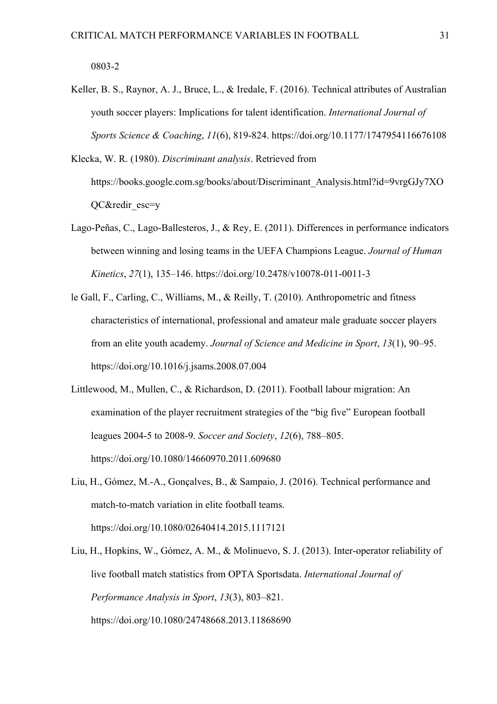0803-2

- Keller, B. S., Raynor, A. J., Bruce, L., & Iredale, F. (2016). Technical attributes of Australian youth soccer players: Implications for talent identification. *International Journal of Sports Science & Coaching*, *11*(6), 819-824. https://doi.org/10.1177/1747954116676108
- Klecka, W. R. (1980). *Discriminant analysis*. Retrieved from https://books.google.com.sg/books/about/Discriminant\_Analysis.html?id=9vrgGJy7XO QC&redir\_esc=y
- Lago-Peñas, C., Lago-Ballesteros, J., & Rey, E. (2011). Differences in performance indicators between winning and losing teams in the UEFA Champions League. *Journal of Human Kinetics*, *27*(1), 135–146. https://doi.org/10.2478/v10078-011-0011-3
- le Gall, F., Carling, C., Williams, M., & Reilly, T. (2010). Anthropometric and fitness characteristics of international, professional and amateur male graduate soccer players from an elite youth academy. *Journal of Science and Medicine in Sport*, *13*(1), 90–95. https://doi.org/10.1016/j.jsams.2008.07.004
- Littlewood, M., Mullen, C., & Richardson, D. (2011). Football labour migration: An examination of the player recruitment strategies of the "big five" European football leagues 2004-5 to 2008-9. *Soccer and Society*, *12*(6), 788–805. https://doi.org/10.1080/14660970.2011.609680
- Liu, H., Gómez, M.-A., Gonçalves, B., & Sampaio, J. (2016). Technical performance and match-to-match variation in elite football teams. https://doi.org/10.1080/02640414.2015.1117121
- Liu, H., Hopkins, W., Gómez, A. M., & Molinuevo, S. J. (2013). Inter-operator reliability of live football match statistics from OPTA Sportsdata. *International Journal of Performance Analysis in Sport*, *13*(3), 803–821. https://doi.org/10.1080/24748668.2013.11868690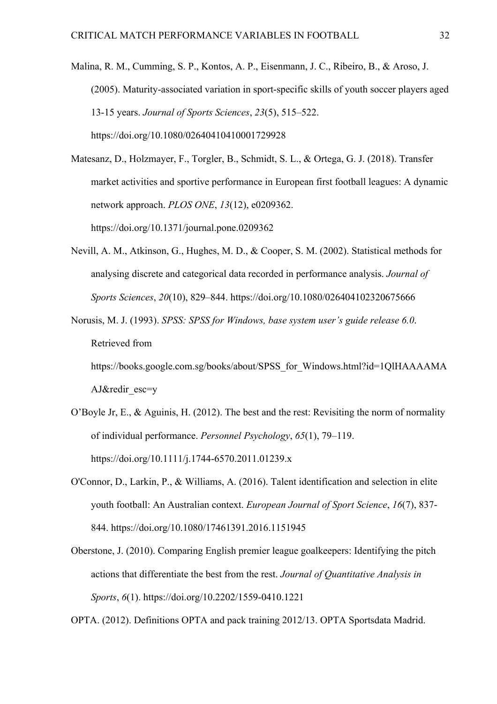Malina, R. M., Cumming, S. P., Kontos, A. P., Eisenmann, J. C., Ribeiro, B., & Aroso, J. (2005). Maturity-associated variation in sport-specific skills of youth soccer players aged 13-15 years. *Journal of Sports Sciences*, *23*(5), 515–522. https://doi.org/10.1080/02640410410001729928

Matesanz, D., Holzmayer, F., Torgler, B., Schmidt, S. L., & Ortega, G. J. (2018). Transfer market activities and sportive performance in European first football leagues: A dynamic network approach. *PLOS ONE*, *13*(12), e0209362. https://doi.org/10.1371/journal.pone.0209362

- Nevill, A. M., Atkinson, G., Hughes, M. D., & Cooper, S. M. (2002). Statistical methods for analysing discrete and categorical data recorded in performance analysis. *Journal of Sports Sciences*, *20*(10), 829–844. https://doi.org/10.1080/026404102320675666
- Norusis, M. J. (1993). *SPSS: SPSS for Windows, base system user's guide release 6.0*. Retrieved from

https://books.google.com.sg/books/about/SPSS\_for\_Windows.html?id=1QlHAAAAMA AJ&redir\_esc=y

- O'Boyle Jr, E., & Aguinis, H. (2012). The best and the rest: Revisiting the norm of normality of individual performance. *Personnel Psychology*, *65*(1), 79–119. https://doi.org/10.1111/j.1744-6570.2011.01239.x
- O'Connor, D., Larkin, P., & Williams, A. (2016). Talent identification and selection in elite youth football: An Australian context. *European Journal of Sport Science*, *16*(7), 837- 844. https://doi.org/10.1080/17461391.2016.1151945
- Oberstone, J. (2010). Comparing English premier league goalkeepers: Identifying the pitch actions that differentiate the best from the rest. *Journal of Quantitative Analysis in Sports*, *6*(1). https://doi.org/10.2202/1559-0410.1221

OPTA. (2012). Definitions OPTA and pack training 2012/13. OPTA Sportsdata Madrid.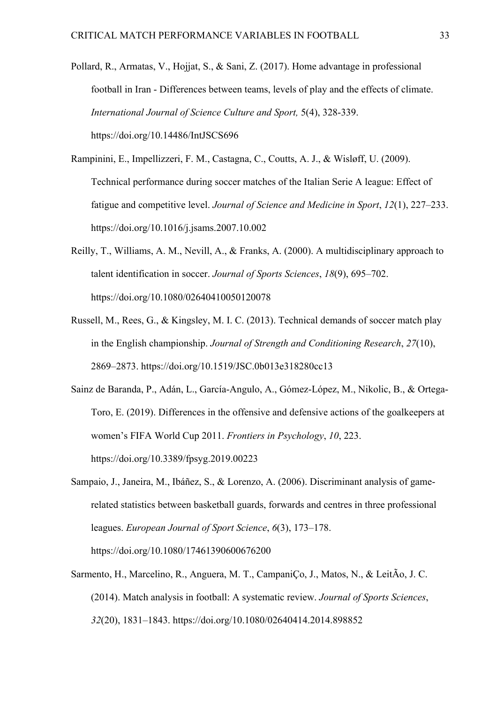- Pollard, R., Armatas, V., Hojjat, S., & Sani, Z. (2017). Home advantage in professional football in Iran - Differences between teams, levels of play and the effects of climate. *International Journal of Science Culture and Sport,* 5(4), 328-339. https://doi.org/10.14486/IntJSCS696
- Rampinini, E., Impellizzeri, F. M., Castagna, C., Coutts, A. J., & Wisløff, U. (2009). Technical performance during soccer matches of the Italian Serie A league: Effect of fatigue and competitive level. *Journal of Science and Medicine in Sport*, *12*(1), 227–233. https://doi.org/10.1016/j.jsams.2007.10.002
- Reilly, T., Williams, A. M., Nevill, A., & Franks, A. (2000). A multidisciplinary approach to talent identification in soccer. *Journal of Sports Sciences*, *18*(9), 695–702. https://doi.org/10.1080/02640410050120078
- Russell, M., Rees, G., & Kingsley, M. I. C. (2013). Technical demands of soccer match play in the English championship. *Journal of Strength and Conditioning Research*, *27*(10), 2869–2873. https://doi.org/10.1519/JSC.0b013e318280cc13
- Sainz de Baranda, P., Adán, L., García-Angulo, A., Gómez-López, M., Nikolic, B., & Ortega-Toro, E. (2019). Differences in the offensive and defensive actions of the goalkeepers at women's FIFA World Cup 2011. *Frontiers in Psychology*, *10*, 223. https://doi.org/10.3389/fpsyg.2019.00223
- Sampaio, J., Janeira, M., Ibáñez, S., & Lorenzo, A. (2006). Discriminant analysis of gamerelated statistics between basketball guards, forwards and centres in three professional leagues. *European Journal of Sport Science*, *6*(3), 173–178. https://doi.org/10.1080/17461390600676200
- Sarmento, H., Marcelino, R., Anguera, M. T., CampaniÇo, J., Matos, N., & LeitÃo, J. C. (2014). Match analysis in football: A systematic review. *Journal of Sports Sciences*, *32*(20), 1831–1843. https://doi.org/10.1080/02640414.2014.898852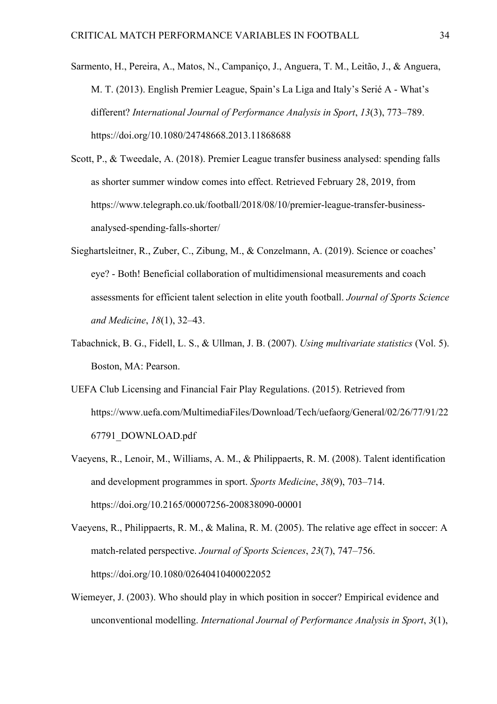- Sarmento, H., Pereira, A., Matos, N., Campaniço, J., Anguera, T. M., Leitão, J., & Anguera, M. T. (2013). English Premier League, Spain's La Liga and Italy's Serié A - What's different? *International Journal of Performance Analysis in Sport*, *13*(3), 773–789. https://doi.org/10.1080/24748668.2013.11868688
- Scott, P., & Tweedale, A. (2018). Premier League transfer business analysed: spending falls as shorter summer window comes into effect. Retrieved February 28, 2019, from https://www.telegraph.co.uk/football/2018/08/10/premier-league-transfer-businessanalysed-spending-falls-shorter/
- Sieghartsleitner, R., Zuber, C., Zibung, M., & Conzelmann, A. (2019). Science or coaches' eye? - Both! Beneficial collaboration of multidimensional measurements and coach assessments for efficient talent selection in elite youth football. *Journal of Sports Science and Medicine*, *18*(1), 32–43.
- Tabachnick, B. G., Fidell, L. S., & Ullman, J. B. (2007). *Using multivariate statistics* (Vol. 5). Boston, MA: Pearson.
- UEFA Club Licensing and Financial Fair Play Regulations. (2015). Retrieved from https://www.uefa.com/MultimediaFiles/Download/Tech/uefaorg/General/02/26/77/91/22 67791\_DOWNLOAD.pdf
- Vaeyens, R., Lenoir, M., Williams, A. M., & Philippaerts, R. M. (2008). Talent identification and development programmes in sport. *Sports Medicine*, *38*(9), 703–714. https://doi.org/10.2165/00007256-200838090-00001
- Vaeyens, R., Philippaerts, R. M., & Malina, R. M. (2005). The relative age effect in soccer: A match-related perspective. *Journal of Sports Sciences*, *23*(7), 747–756. https://doi.org/10.1080/02640410400022052
- Wiemeyer, J. (2003). Who should play in which position in soccer? Empirical evidence and unconventional modelling. *International Journal of Performance Analysis in Sport*, *3*(1),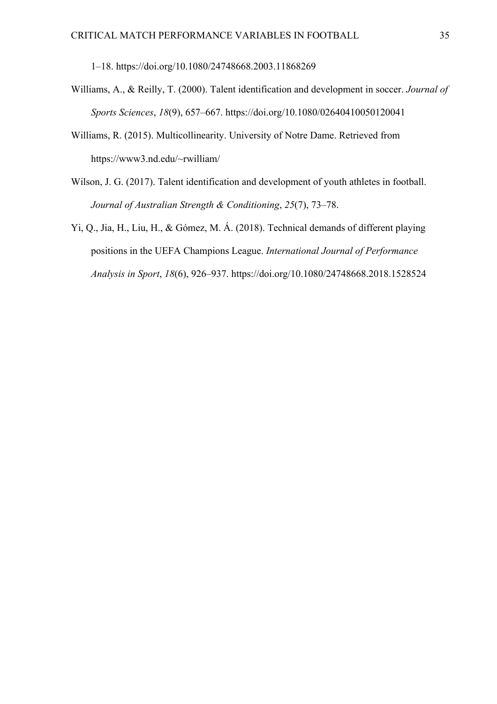1–18. https://doi.org/10.1080/24748668.2003.11868269

- Williams, A., & Reilly, T. (2000). Talent identification and development in soccer. *Journal of Sports Sciences*, *18*(9), 657–667. https://doi.org/10.1080/02640410050120041
- Williams, R. (2015). Multicollinearity. University of Notre Dame. Retrieved from https://www3.nd.edu/~rwilliam/
- Wilson, J. G. (2017). Talent identification and development of youth athletes in football. *Journal of Australian Strength & Conditioning*, *25*(7), 73–78.
- Yi, Q., Jia, H., Liu, H., & Gómez, M. Á. (2018). Technical demands of different playing positions in the UEFA Champions League. *International Journal of Performance Analysis in Sport*, *18*(6), 926–937. https://doi.org/10.1080/24748668.2018.1528524